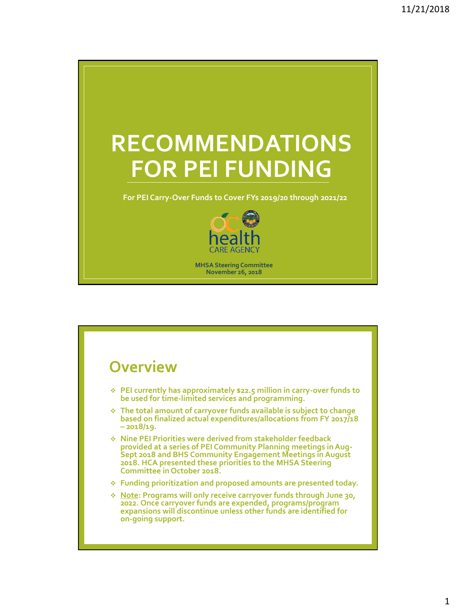

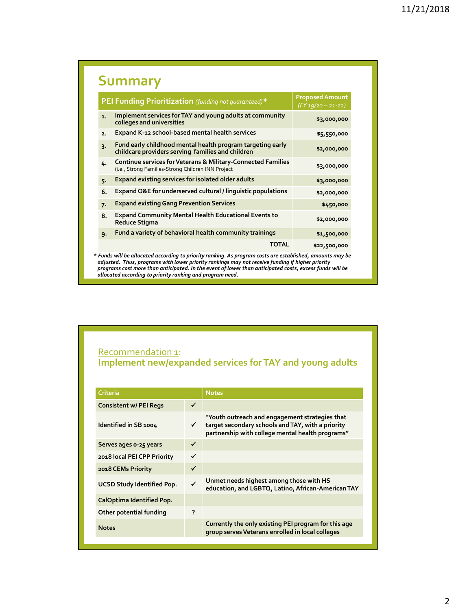|                | PEI Funding Prioritization (funding not quaranteed)*                                                                                         | <b>Proposed Amount</b><br>$(FY 19/20 - 21-22)$ |  |  |  |
|----------------|----------------------------------------------------------------------------------------------------------------------------------------------|------------------------------------------------|--|--|--|
| $\mathbf{1}$ . | Implement services for TAY and young adults at community<br>colleges and universities                                                        | \$3,000,000                                    |  |  |  |
| 2.             | Expand K-12 school-based mental health services                                                                                              | \$5,550,000                                    |  |  |  |
| $\overline{3}$ | Fund early childhood mental health program targeting early<br>childcare providers serving families and children                              | \$2,000,000                                    |  |  |  |
| 4.             | <b>Continue services for Veterans &amp; Military-Connected Families</b><br>\$3,000,000<br>(i.e., Strong Families-Strong Children INN Project |                                                |  |  |  |
| $5 -$          | Expand existing services for isolated older adults                                                                                           | \$3,000,000                                    |  |  |  |
| 6.             | Expand O&E for underserved cultural / linguistic populations                                                                                 | \$2,000,000                                    |  |  |  |
| 7.             | <b>Expand existing Gang Prevention Services</b>                                                                                              | \$450,000                                      |  |  |  |
| 8.             | <b>Expand Community Mental Health Educational Events to</b><br>Reduce Stigma                                                                 | \$2,000,000                                    |  |  |  |
| 9.             | Fund a variety of behavioral health community trainings                                                                                      | \$1,500,000                                    |  |  |  |
|                | <b>TOTAL</b>                                                                                                                                 | \$22,500,000                                   |  |  |  |

### Recommendation 1: **Implement new/expanded services for TAY and young adults**

| Criteria                          |              | <b>Notes</b>                                                                                                                                            |
|-----------------------------------|--------------|---------------------------------------------------------------------------------------------------------------------------------------------------------|
| <b>Consistent w/ PEI Regs</b>     | $\checkmark$ |                                                                                                                                                         |
| Identified in SB 1004             | ✓            | "Youth outreach and engagement strategies that<br>target secondary schools and TAY, with a priority<br>partnership with college mental health programs" |
| Serves ages o-25 years            | ✓            |                                                                                                                                                         |
| 2018 local PEI CPP Priority       | ✓            |                                                                                                                                                         |
| 2018 CEMs Priority                | $\checkmark$ |                                                                                                                                                         |
| <b>UCSD Study Identified Pop.</b> | $\checkmark$ | Unmet needs highest among those with HS<br>education, and LGBTQ, Latino, African-American TAY                                                           |
| CalOptima Identified Pop.         |              |                                                                                                                                                         |
| Other potential funding           | ?            |                                                                                                                                                         |
| <b>Notes</b>                      |              | Currently the only existing PEI program for this age<br>group serves Veterans enrolled in local colleges                                                |
|                                   |              |                                                                                                                                                         |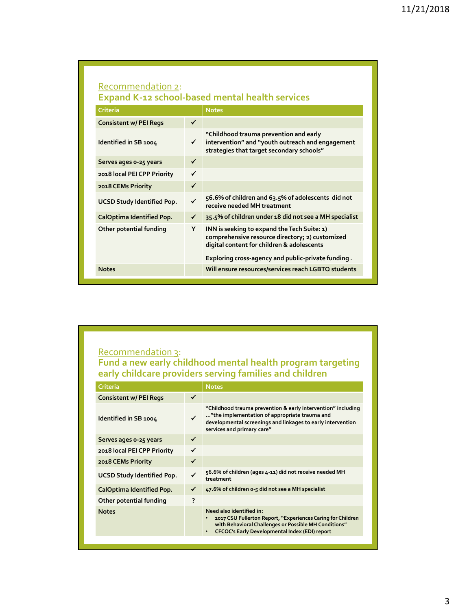### Recommendation 2: **Expand K-12 school-based mental health services**

| <b>Criteria</b>                   |              | <b>Notes</b>                                                                                                                                                                                       |
|-----------------------------------|--------------|----------------------------------------------------------------------------------------------------------------------------------------------------------------------------------------------------|
| <b>Consistent w/ PEI Regs</b>     | $\checkmark$ |                                                                                                                                                                                                    |
| Identified in SB 1004             | ✓            | "Childhood trauma prevention and early<br>intervention" and "youth outreach and engagement<br>strategies that target secondary schools"                                                            |
| Serves ages 0-25 years            | ✓            |                                                                                                                                                                                                    |
| 2018 local PEI CPP Priority       | $\checkmark$ |                                                                                                                                                                                                    |
| 2018 CEMs Priority                | $\checkmark$ |                                                                                                                                                                                                    |
| <b>UCSD Study Identified Pop.</b> | $\checkmark$ | 56.6% of children and 63.5% of adolescents did not<br>receive needed MH treatment                                                                                                                  |
| <b>CalOptima Identified Pop.</b>  | ✓            | 35.5% of children under 18 did not see a MH specialist                                                                                                                                             |
| Other potential funding           | Y            | INN is seeking to expand the Tech Suite: 1)<br>comprehensive resource directory; 2) customized<br>digital content for children & adolescents<br>Exploring cross-agency and public-private funding. |
| <b>Notes</b>                      |              | Will ensure resources/services reach LGBTQ students                                                                                                                                                |

# Recommendation 3:

**Fund a new early childhood mental health program targeting early childcare providers serving families and children** 

| Criteria                      |              | <b>Notes</b>                                                                                                                                                                                                    |
|-------------------------------|--------------|-----------------------------------------------------------------------------------------------------------------------------------------------------------------------------------------------------------------|
| <b>Consistent w/ PEI Regs</b> | $\checkmark$ |                                                                                                                                                                                                                 |
| Identified in SB 1004         | $\checkmark$ | "Childhood trauma prevention & early intervention" including<br>"the implementation of appropriate trauma and<br>developmental screenings and linkages to early intervention<br>services and primary care"      |
| Serves ages o-25 years        | ✓            |                                                                                                                                                                                                                 |
| 2018 local PEI CPP Priority   | ✓            |                                                                                                                                                                                                                 |
| 2018 CEMs Priority            | ✓            |                                                                                                                                                                                                                 |
| UCSD Study Identified Pop.    | ✓            | 56.6% of children (ages 4-11) did not receive needed MH<br>treatment                                                                                                                                            |
| CalOptima Identified Pop.     |              | 47.6% of children o-5 did not see a MH specialist                                                                                                                                                               |
| Other potential funding       | ?            |                                                                                                                                                                                                                 |
| <b>Notes</b>                  |              | Need also identified in:<br>2017 CSU Fullerton Report, "Experiences Caring for Children<br>with Behavioral Challenges or Possible MH Conditions"<br>CFCOC's Early Developmental Index (EDI) report<br>$\bullet$ |
|                               |              |                                                                                                                                                                                                                 |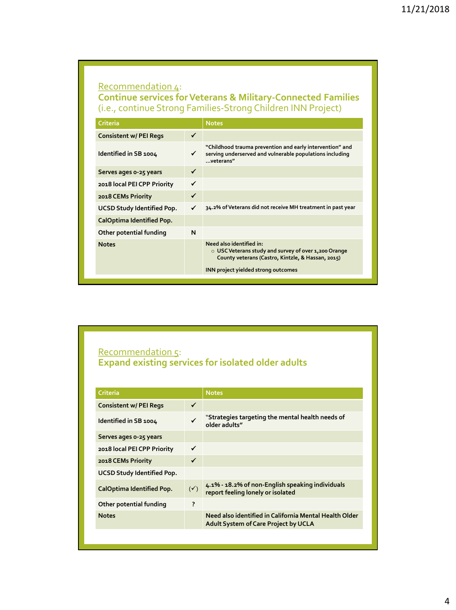# Recommendation 4: **Continue services for Veterans & Military-Connected Families**  (i.e., continue Strong Families-Strong Children INN Project)

| Criteria                      |   | <b>Notes</b>                                                                                                                                                                 |
|-------------------------------|---|------------------------------------------------------------------------------------------------------------------------------------------------------------------------------|
| <b>Consistent w/ PEI Regs</b> | ✓ |                                                                                                                                                                              |
| Identified in SB 1004         | ✓ | "Childhood trauma prevention and early intervention" and<br>serving underserved and vulnerable populations including<br>veterans"                                            |
| Serves ages o-25 years        | ✓ |                                                                                                                                                                              |
| 2018 local PEI CPP Priority   | ✓ |                                                                                                                                                                              |
| 2018 CEMs Priority            |   |                                                                                                                                                                              |
| UCSD Study Identified Pop.    | ✓ | 34.2% of Veterans did not receive MH treatment in past year                                                                                                                  |
| CalOptima Identified Pop.     |   |                                                                                                                                                                              |
| N<br>Other potential funding  |   |                                                                                                                                                                              |
| <b>Notes</b>                  |   | Need also identified in:<br>○ USC Veterans study and survey of over 1,200 Orange<br>County veterans (Castro, Kintzle, & Hassan, 2015)<br>INN project yielded strong outcomes |

# Recommendation 5: **Expand existing services for isolated older adults**

|                | <b>Notes</b>                                                                                   |
|----------------|------------------------------------------------------------------------------------------------|
| ✓              |                                                                                                |
| ✓              | "Strategies targeting the mental health needs of<br>older adults"                              |
|                |                                                                                                |
| ✓              |                                                                                                |
| ✓              |                                                                                                |
|                |                                                                                                |
| $(\checkmark)$ | 4.1% - 18.2% of non-English speaking individuals<br>report feeling lonely or isolated          |
| ?              |                                                                                                |
|                | Need also identified in California Mental Health Older<br>Adult System of Care Project by UCLA |
|                |                                                                                                |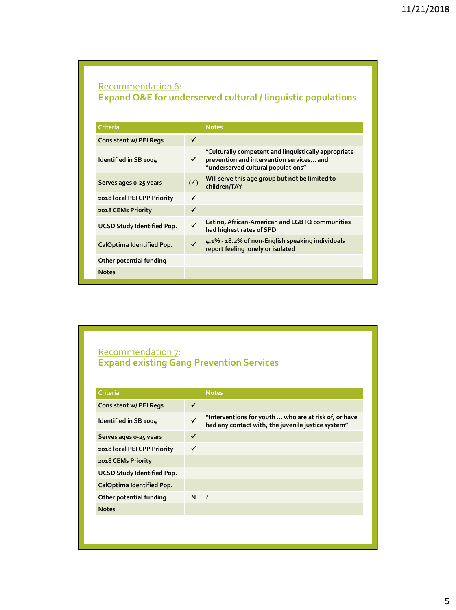# Recommendation 6: **Expand O&E for underserved cultural / linguistic populations**

| Criteria                          |                | <b>Notes</b>                                                                                                                           |
|-----------------------------------|----------------|----------------------------------------------------------------------------------------------------------------------------------------|
| <b>Consistent w/ PEI Regs</b>     | ✓              |                                                                                                                                        |
| Identified in SB 1004             | ✓              | "Culturally competent and linguistically appropriate<br>prevention and intervention services and<br>"underserved cultural populations" |
| Serves ages 0-25 years            | $(\checkmark)$ | Will serve this age group but not be limited to<br>children/TAY                                                                        |
| 2018 local PEI CPP Priority       | ✓              |                                                                                                                                        |
| 2018 CEMs Priority                | ✓              |                                                                                                                                        |
| <b>UCSD Study Identified Pop.</b> |                | Latino, African-American and LGBTQ communities<br>had highest rates of SPD                                                             |
| CalOptima Identified Pop.         | $\checkmark$   | 4.1% - 18.2% of non-English speaking individuals<br>report feeling lonely or isolated                                                  |
| Other potential funding           |                |                                                                                                                                        |
| <b>Notes</b>                      |                |                                                                                                                                        |

### Recommendation 7: **Expand existing Gang Prevention Services**

| <b>Criteria</b>                    |   | <b>Notes</b>                                                                                                |
|------------------------------------|---|-------------------------------------------------------------------------------------------------------------|
| ✓<br><b>Consistent w/ PEI Regs</b> |   |                                                                                                             |
| Identified in SB 1004              |   | "Interventions for youth  who are at risk of, or have<br>had any contact with, the juvenile justice system" |
| Serves ages 0-25 years             | ✓ |                                                                                                             |
| 2018 local PEI CPP Priority        | ✓ |                                                                                                             |
| 2018 CEMs Priority                 |   |                                                                                                             |
| UCSD Study Identified Pop.         |   |                                                                                                             |
| CalOptima Identified Pop.          |   |                                                                                                             |
| Other potential funding            | N | $\cdot$ ?                                                                                                   |
| <b>Notes</b>                       |   |                                                                                                             |
|                                    |   |                                                                                                             |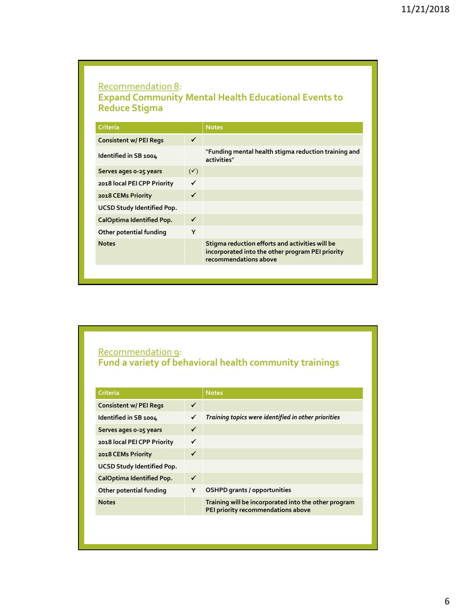# Recommendation 8: **Expand Community Mental Health Educational Events to Reduce Stigma**

| <b>Criteria</b>               |                | <b>Notes</b>                                                                                                                 |
|-------------------------------|----------------|------------------------------------------------------------------------------------------------------------------------------|
| <b>Consistent w/ PEI Regs</b> | ✓              |                                                                                                                              |
| Identified in SB 1004         |                | "Funding mental health stigma reduction training and<br>activities"                                                          |
| Serves ages 0-25 years        | $(\checkmark)$ |                                                                                                                              |
| 2018 local PEI CPP Priority   | $\checkmark$   |                                                                                                                              |
| 2018 CEMs Priority            | $\checkmark$   |                                                                                                                              |
| UCSD Study Identified Pop.    |                |                                                                                                                              |
| CalOptima Identified Pop.     | ✓              |                                                                                                                              |
| Other potential funding       | Y              |                                                                                                                              |
| <b>Notes</b>                  |                | Stigma reduction efforts and activities will be<br>incorporated into the other program PEI priority<br>recommendations above |

### Recommendation 9: **Fund a variety of behavioral health community trainings**

| Criteria                           |   | <b>Notes</b>                                                                               |
|------------------------------------|---|--------------------------------------------------------------------------------------------|
| ✓<br><b>Consistent w/ PEI Regs</b> |   |                                                                                            |
| Identified in SB 1004              |   | Training topics were identified in other priorities                                        |
| Serves ages 0-25 years             | ✓ |                                                                                            |
| 2018 local PEI CPP Priority        | ✓ |                                                                                            |
| 2018 CEMs Priority                 | ✓ |                                                                                            |
| UCSD Study Identified Pop.         |   |                                                                                            |
| CalOptima Identified Pop.          | ✓ |                                                                                            |
| Other potential funding            | Y | <b>OSHPD</b> grants / opportunities                                                        |
| <b>Notes</b>                       |   | Training will be incorporated into the other program<br>PEI priority recommendations above |